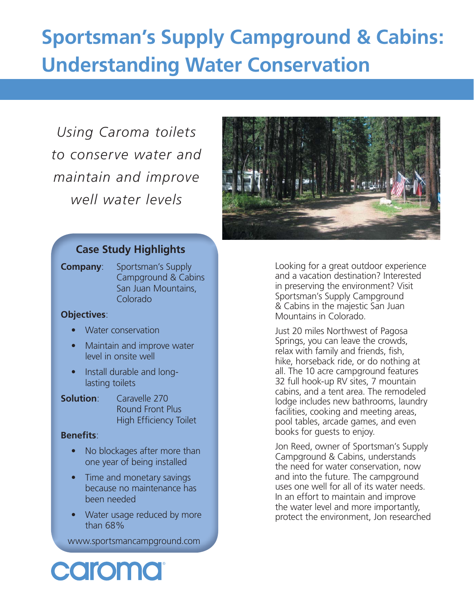# **Sportsman's Supply Campground & Cabins: Understanding Water Conservation**

*Using Caroma toilets to conserve water and maintain and improve well water levels*



# **Case Study Highlights**

**Company**: Sportsman's Supply Campground & Cabins San Juan Mountains, Colorado

#### **Objectives**:

- Water conservation
- Maintain and improve water level in onsite well
- Install durable and longlasting toilets
- **Solution**: Caravelle 270 Round Front Plus High Efficiency Toilet

#### **Benefits:**

- No blockages after more than one year of being installed
- Time and monetary savings because no maintenance has been needed
- Water usage reduced by more than 68%

www.sportsmancampground.com

Looking for a great outdoor experience and a vacation destination? Interested in preserving the environment? Visit Sportsman's Supply Campground & Cabins in the majestic San Juan Mountains in Colorado.

Just 20 miles Northwest of Pagosa Springs, you can leave the crowds, relax with family and friends, fish, hike, horseback ride, or do nothing at all. The 10 acre campground features 32 full hook-up RV sites, 7 mountain cabins, and a tent area. The remodeled lodge includes new bathrooms, laundry facilities, cooking and meeting areas, pool tables, arcade games, and even books for guests to enjoy.

Jon Reed, owner of Sportsman's Supply Campground & Cabins, understands the need for water conservation, now and into the future. The campground uses one well for all of its water needs. In an effort to maintain and improve the water level and more importantly, protect the environment, Jon researched

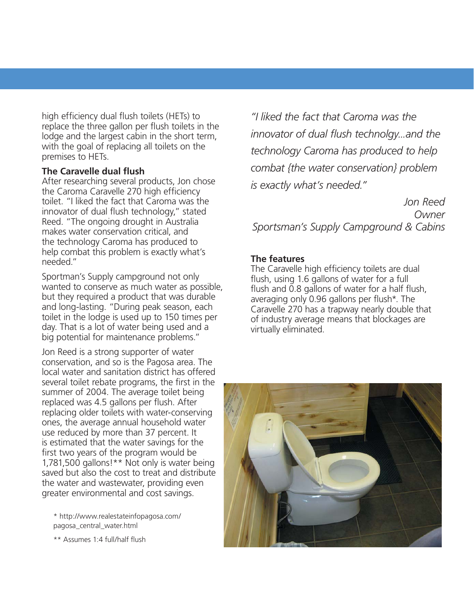high efficiency dual flush toilets (HETs) to replace the three gallon per flush toilets in the lodge and the largest cabin in the short term, with the goal of replacing all toilets on the premises to HETs.

#### **The Caravelle dual flush**

After researching several products, Jon chose the Caroma Caravelle 270 high efficiency toilet. "I liked the fact that Caroma was the innovator of dual flush technology," stated Reed. "The ongoing drought in Australia makes water conservation critical, and the technology Caroma has produced to help combat this problem is exactly what's needed."

Sportman's Supply campground not only wanted to conserve as much water as possible, but they required a product that was durable and long-lasting. "During peak season, each toilet in the lodge is used up to 150 times per day. That is a lot of water being used and a big potential for maintenance problems."

Jon Reed is a strong supporter of water conservation, and so is the Pagosa area. The local water and sanitation district has offered several toilet rebate programs, the first in the summer of 2004. The average toilet being replaced was 4.5 gallons per flush. After replacing older toilets with water-conserving ones, the average annual household water use reduced by more than 37 percent. It is estimated that the water savings for the first two years of the program would be 1,781,500 gallons!\*\* Not only is water being saved but also the cost to treat and distribute the water and wastewater, providing even greater environmental and cost savings.

\* http://www.realestateinfopagosa.com/ pagosa\_central\_water.html

\*\* Assumes 1:4 full/half flush

*"I liked the fact that Caroma was the*  innovator of dual flush technolgy...and the *technology Caroma has produced to help combat {the water conservation} problem is exactly what's needed."*

*Jon Reed Owner Sportsman's Supply Campground & Cabins*

### **The features**

The Caravelle high efficiency toilets are dual flush, using 1.6 gallons of water for a full flush and 0.8 gallons of water for a half flush, averaging only 0.96 gallons per flush\*. The Caravelle 270 has a trapway nearly double that of industry average means that blockages are virtually eliminated.

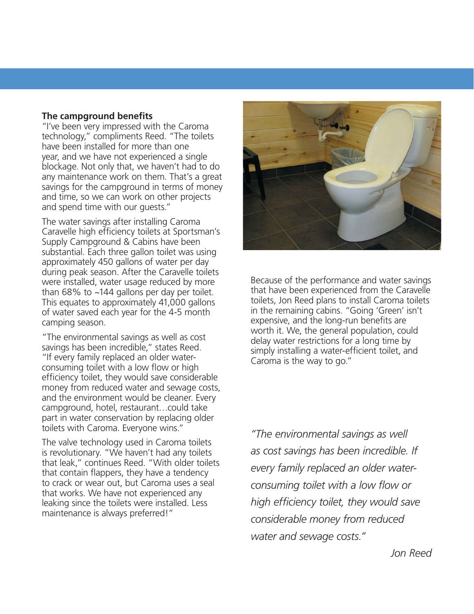#### **The campground benefits**

"I've been very impressed with the Caroma technology," compliments Reed. "The toilets have been installed for more than one year, and we have not experienced a single blockage. Not only that, we haven't had to do any maintenance work on them. That's a great savings for the campground in terms of money and time, so we can work on other projects and spend time with our guests."

The water savings after installing Caroma Caravelle high efficiency toilets at Sportsman's Supply Campground & Cabins have been substantial. Each three gallon toilet was using approximately 450 gallons of water per day during peak season. After the Caravelle toilets were installed, water usage reduced by more than 68% to ~144 gallons per day per toilet. This equates to approximately 41,000 gallons of water saved each year for the 4-5 month camping season.

"The environmental savings as well as cost savings has been incredible," states Reed. "If every family replaced an older waterconsuming toilet with a low flow or high efficiency toilet, they would save considerable money from reduced water and sewage costs, and the environment would be cleaner. Every campground, hotel, restaurant…could take part in water conservation by replacing older toilets with Caroma. Everyone wins."

The valve technology used in Caroma toilets is revolutionary. "We haven't had any toilets that leak," continues Reed. "With older toilets that contain flappers, they have a tendency to crack or wear out, but Caroma uses a seal that works. We have not experienced any leaking since the toilets were installed. Less maintenance is always preferred!"



Because of the performance and water savings that have been experienced from the Caravelle toilets, Jon Reed plans to install Caroma toilets in the remaining cabins. "Going 'Green' isn't expensive, and the long-run benefits are worth it. We, the general population, could delay water restrictions for a long time by simply installing a water-efficient toilet, and Caroma is the way to go."

*"The environmental savings as well as cost savings has been incredible. If every family replaced an older waterconsuming toilet with a low flow or high effi ciency toilet, they would save considerable money from reduced water and sewage costs."*

*Jon Reed*